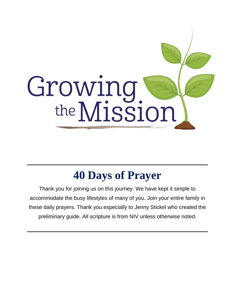

# **40 Days of Prayer**

Thank you for joining us on this journey. We have kept it simple to accommodate the busy lifestyles of many of you. Join your entire family in these daily prayers. Thank you especially to Jenny Stickel who created the preliminary guide. All scripture is from NIV unless otherwise noted.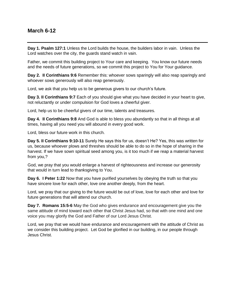#### **March 6-12**

**Day 1. Psalm 127:1** Unless the Lord builds the house, the builders labor in vain. Unless the Lord watches over the city, the guards stand watch in vain.

Father, we commit this building project to Your care and keeping. You know our future needs and the needs of future generations, so we commit this project to You for Your guidance.

**Day 2. II Corinthians 9:6** Remember this: whoever sows sparingly will also reap sparingly and whoever sows generously will also reap generously.

Lord, we ask that you help us to be generous givers to our church's future.

**Day 3. II Corinthians 9:7** Each of you should give what you have decided in your heart to give, not reluctantly or under compulsion for God loves a cheerful giver.

Lord, help us to be cheerful givers of our time, talents and treasures.

**Day 4. II Corinthians 9:8** And God is able to bless you abundantly so that in all things at all times, having all you need you will abound in every good work.

Lord, bless our future work in this church.

**Day 5. II Corinthians 9:10-11** Surely He says this for us, doesn't He? Yes, this was written for us, because whoever plows and threshes should be able to do so in the hope of sharing in the harvest. If we have sown spiritual seed among you, is it too much if we reap a material harvest from you,?

God, we pray that you would enlarge a harvest of righteousness and increase our generosity that would in turn lead to thanksgiving to You.

**Day 6. I Peter 1:22** Now that you have purified yourselves by obeying the truth so that you have sincere love for each other, love one another deeply, from the heart.

Lord, we pray that our giving to the future would be out of love, love for each other and love for future generations that will attend our church.

**Day 7. Romans 15:5-6** May the God who gives endurance and encouragement give you the same attitude of mind toward each other that Christ Jesus had, so that with one mind and one voice you may glorify the God and Father of our Lord Jesus Christ.

Lord, we pray that we would have endurance and encouragement with the attitude of Christ as we consider this building project. Let God be glorified in our building, in our people through Jesus Christ.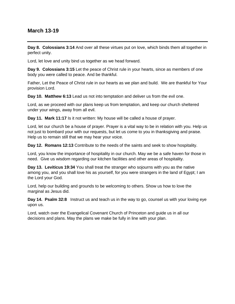#### **March 13-19**

**Day 8. Colossians 3:14** And over all these virtues put on love, which binds them all together in perfect unity.

Lord, let love and unity bind us together as we head forward.

**Day 9. Colossians 3:15** Let the peace of Christ rule in your hearts, since as members of one body you were called to peace. And be thankful.

Father, Let the Peace of Christ rule in our hearts as we plan and build. We are thankful for Your provision Lord.

**Day 10. Matthew 6:13** Lead us not into temptation and deliver us from the evil one.

Lord, as we proceed with our plans keep us from temptation, and keep our church sheltered under your wings, away from all evil.

**Day 11. Mark 11:17** Is it not written: My house will be called a house of prayer.

Lord, let our church be a house of prayer. Prayer is a vital way to be in relation with you. Help us not just to bombard your with our requests, but let us come to you in thanksgiving and praise. Help us to remain still that we may hear your voice.

**Day 12. Romans 12:13** Contribute to the needs of the saints and seek to show hospitality.

Lord, you know the importance of hospitality in our church. May we be a safe haven for those in need. Give us wisdom regarding our kitchen facilities and other areas of hospitality.

**Day 13. Leviticus 19:34** You shall treat the stranger who sojourns with you as the native among you, and you shall love his as yourself, for you were strangers in the land of Egypt; I am the Lord your God.

Lord, help our building and grounds to be welcoming to others. Show us how to love the marginal as Jesus did.

**Day 14. Psalm 32:8** Instruct us and teach us in the way to go, counsel us with your loving eye upon us.

Lord, watch over the Evangelical Covenant Church of Princeton and guide us in all our decisions and plans. May the plans we make be fully in line with your plan.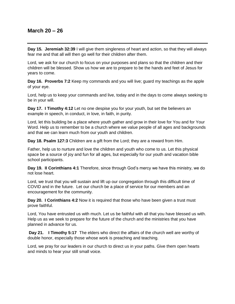#### **March 20 – 26**

**Day 15. Jeremiah 32:39** I will give them singleness of heart and action, so that they will always fear me and that all will then go well for their children after them.

Lord, we ask for our church to focus on your purposes and plans so that the children and their children will be blessed. Show us how we are to prepare to be the hands and feet of Jesus for years to come.

**Day 16. Proverbs 7:2** Keep my commands and you will live; guard my teachings as the apple of your eye.

Lord, help us to keep your commands and live, today and in the days to come always seeking to be in your will.

**Day 17. I Timothy 4:12** Let no one despise you for your youth, but set the believers an example in speech, in conduct, in love, in faith, in purity.

Lord, let this building be a place where youth gather and grow in their love for You and for Your Word. Help us to remember to be a church where we value people of all ages and backgrounds and that we can learn much from our youth and children.

**Day 18. Psalm 127:3** Children are a gift from the Lord; they are a reward from Him.

Father, help us to nurture and love the children and youth who come to us. Let this physical space be a source of joy and fun for all ages, but especially for our youth and vacation bible school participants.

**Day 19. II Corinthians 4:1** Therefore, since through God's mercy we have this ministry, we do not lose heart.

Lord, we trust that you will sustain and lift up our congregation through this difficult time of COVID and in the future. Let our church be a place of service for our members and an encouragement for the community.

**Day 20. I Corinthians 4:2** Now it is required that those who have been given a trust must prove faithful.

Lord, You have entrusted us with much. Let us be faithful with all that you have blessed us with. Help us as we seek to prepare for the future of the church and the ministries that you have planned in advance for us.

**Day 21. I Timothy 5:17** The elders who direct the affairs of the church well are worthy of double honor, especially those whose work is preaching and teaching.

Lord, we pray for our leaders in our church to direct us in your paths. Give them open hearts and minds to hear your still small voice.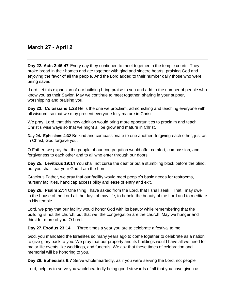## **March 27 - April 2**

**Day 22. Acts 2:46-47** Every day they continued to meet together in the temple courts. They broke bread in their homes and ate together with glad and sincere hearts, praising God and enjoying the favor of all the people. And the Lord added to their number daily those who were being saved.

Lord, let this expansion of our building bring praise to you and add to the number of people who know you as their Savior. May we continue to meet together, sharing in your supper, worshipping and praising you.

**Day 23. Colossians 1:28** He is the one we proclaim, admonishing and teaching everyone with all wisdom, so that we may present everyone fully mature in Christ.

We pray, Lord, that this new addition would bring more opportunities to proclaim and teach Christ's wise ways so that we might all be grow and mature in Christ.

**Day 24. Ephesians 4:32** Be kind and compassionate to one another, forgiving each other, just as in Christ, God forgave you.

O Father, we pray that the people of our congregation would offer comfort, compassion, and forgiveness to each other and to all who enter through our doors.

**Day 25. Leviticus 19:14** You shall not curse the deaf or put a stumbling block before the blind, but you shall fear your God: I am the Lord.

Gracious Father, we pray that our facility would meet people's basic needs for restrooms, nursery facilities, handicap accessibility and ease of entry and exit.

**Day 26. Psalm 27:4** One thing I have asked from the Lord, that I shall seek: That I may dwell in the house of the Lord all the days of may life, to behold the beauty of the Lord and to meditate in His temple.

Lord, we pray that our facility would honor God with its beauty while remembering that the building is not the church, but that we, the congregation are the church. May we hunger and thirst for more of you, O Lord.

**Day 27. Exodus 23:14** Three times a year you are to celebrate a festival to me.

God, you mandated the Israelites so many years ago to come together to celebrate as a nation to give glory back to you. We pray that our property and its buildings would have all we need for major life events like weddings, and funerals. We ask that these times of celebration and memorial will be honoring to you.

**Day 28. Ephesians 6:7** Serve wholeheartedly, as if you were serving the Lord, not people

Lord, help us to serve you wholeheartedly being good stewards of all that you have given us.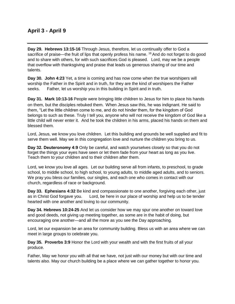## **April 3 - April 9**

**Day 29. Hebrews 13:15-16** Through Jesus, therefore, let us continually offer to God a sacrifice of praise—the fruit of lips that openly profess his name. <sup>16</sup> And do not forget to do good and to share with others, for with such sacrifices God is pleased. Lord, may we be a people that overflow with thanksgiving and praise that leads us generous sharing of our time and talents.

**Day 30. John 4:23** Yet, a time is coming and has now come when the true worshipers will worship the Father in the Spirit and in truth, for they are the kind of worshipers the Father seeks. Father, let us worship you in this building in Spirit and in truth.

**Day 31. Mark 10:13-16** People were bringing little children to Jesus for him to place his hands on them, but the disciples rebuked them. When Jesus saw this, he was indignant. He said to them, "Let the little children come to me, and do not hinder them, for the kingdom of God belongs to such as these. Truly I tell you, anyone who will not receive the kingdom of God like a little child will never enter it. And he took the children in his arms, placed his hands on them and blessed them.

Lord, Jesus, we know you love children. Let this building and grounds be well supplied and fit to serve them well. May we in this congregation love and nurture the children you bring to us.

**Day 32. Deuteronomy 4:9** Only be careful, and watch yourselves closely so that you do not forget the things your eyes have seen or let them fade from your heart as long as you live. Teach them to your children and to their children after them.

Lord, we know you love all ages. Let our building serve all from infants, to preschool, to grade school, to middle school, to high school, to young adults, to middle aged adults, and to seniors. We pray you bless our families, our singles, and each one who comes in contact with our church, regardless of race or background.

**Day 33. Ephesians 4:32** Be kind and compassionate to one another, forgiving each other, just as in Christ God forgave you. Lord, be here in our place of worship and help us to be tender hearted with one another and loving to our community.

**Day 34. Hebrews 10:24-25** And let us consider how we may spur one another on toward love and good deeds, not giving up meeting together, as some are in the habit of doing, but encouraging one another—and all the more as you see the Day approaching.

Lord, let our expansion be an area for community building. Bless us with an area where we can meet in large groups to celebrate you.

**Day 35. Proverbs 3:9** Honor the Lord with your wealth and with the first fruits of all your produce.

Father, May we honor you with all that we have, not just with our money but with our time and talents also. May our church building be a place where we can gather together to honor you.